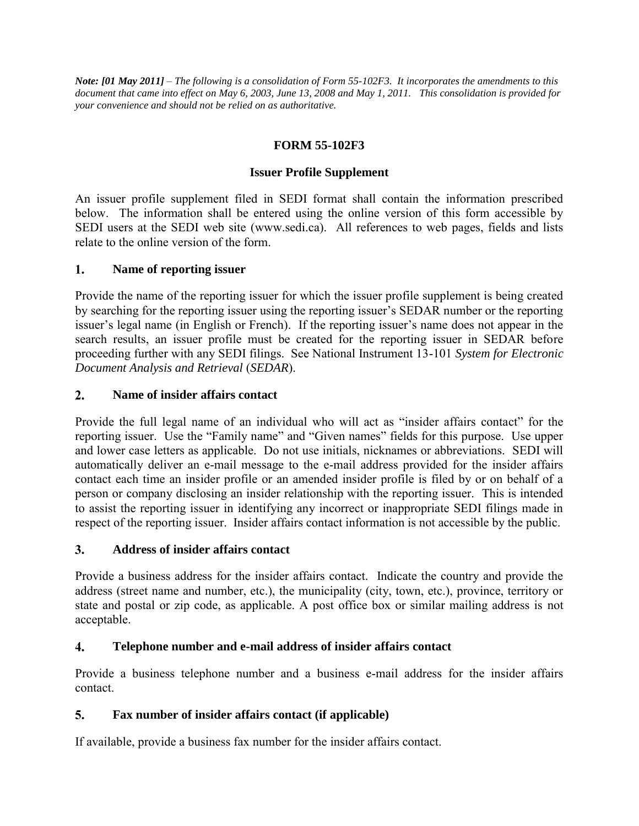*Note: [01 May 2011] – The following is a consolidation of Form 55-102F3. It incorporates the amendments to this document that came into effect on May 6, 2003, June 13, 2008 and May 1, 2011. This consolidation is provided for your convenience and should not be relied on as authoritative.* 

# **FORM 55-102F3**

## **Issuer Profile Supplement**

An issuer profile supplement filed in SEDI format shall contain the information prescribed below. The information shall be entered using the online version of this form accessible by SEDI users at the SEDI web site (www.sedi.ca). All references to web pages, fields and lists relate to the online version of the form.

### $1.$ **Name of reporting issuer**

Provide the name of the reporting issuer for which the issuer profile supplement is being created by searching for the reporting issuer using the reporting issuer's SEDAR number or the reporting issuer's legal name (in English or French). If the reporting issuer's name does not appear in the search results, an issuer profile must be created for the reporting issuer in SEDAR before proceeding further with any SEDI filings. See National Instrument 13-101 *System for Electronic Document Analysis and Retrieval* (*SEDAR*).

### $2.$ **Name of insider affairs contact**

Provide the full legal name of an individual who will act as "insider affairs contact" for the reporting issuer. Use the "Family name" and "Given names" fields for this purpose. Use upper and lower case letters as applicable. Do not use initials, nicknames or abbreviations. SEDI will automatically deliver an e-mail message to the e-mail address provided for the insider affairs contact each time an insider profile or an amended insider profile is filed by or on behalf of a person or company disclosing an insider relationship with the reporting issuer. This is intended to assist the reporting issuer in identifying any incorrect or inappropriate SEDI filings made in respect of the reporting issuer. Insider affairs contact information is not accessible by the public.

### $3<sub>1</sub>$ **Address of insider affairs contact**

Provide a business address for the insider affairs contact. Indicate the country and provide the address (street name and number, etc.), the municipality (city, town, etc.), province, territory or state and postal or zip code, as applicable. A post office box or similar mailing address is not acceptable.

### **Telephone number and e-mail address of insider affairs contact**  $4.$

Provide a business telephone number and a business e-mail address for the insider affairs contact.

## $5.$ **Fax number of insider affairs contact (if applicable)**

If available, provide a business fax number for the insider affairs contact.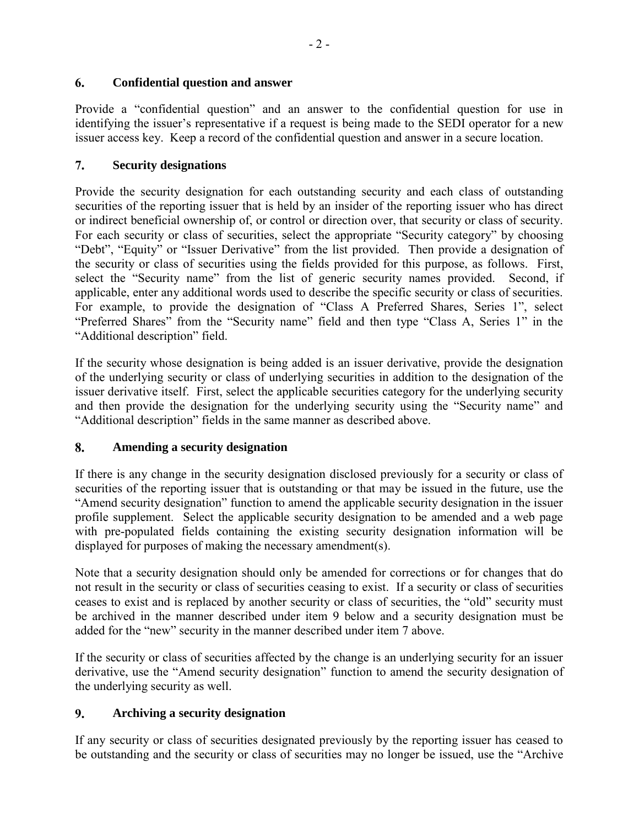## 6. **Confidential question and answer**

Provide a "confidential question" and an answer to the confidential question for use in identifying the issuer's representative if a request is being made to the SEDI operator for a new issuer access key. Keep a record of the confidential question and answer in a secure location.

## $7.$ **Security designations**

Provide the security designation for each outstanding security and each class of outstanding securities of the reporting issuer that is held by an insider of the reporting issuer who has direct or indirect beneficial ownership of, or control or direction over, that security or class of security. For each security or class of securities, select the appropriate "Security category" by choosing "Debt", "Equity" or "Issuer Derivative" from the list provided. Then provide a designation of the security or class of securities using the fields provided for this purpose, as follows. First, select the "Security name" from the list of generic security names provided. Second, if applicable, enter any additional words used to describe the specific security or class of securities. For example, to provide the designation of "Class A Preferred Shares, Series 1", select "Preferred Shares" from the "Security name" field and then type "Class A, Series 1" in the "Additional description" field.

If the security whose designation is being added is an issuer derivative, provide the designation of the underlying security or class of underlying securities in addition to the designation of the issuer derivative itself. First, select the applicable securities category for the underlying security and then provide the designation for the underlying security using the "Security name" and "Additional description" fields in the same manner as described above.

## 8. **Amending a security designation**

If there is any change in the security designation disclosed previously for a security or class of securities of the reporting issuer that is outstanding or that may be issued in the future, use the "Amend security designation" function to amend the applicable security designation in the issuer profile supplement. Select the applicable security designation to be amended and a web page with pre-populated fields containing the existing security designation information will be displayed for purposes of making the necessary amendment(s).

Note that a security designation should only be amended for corrections or for changes that do not result in the security or class of securities ceasing to exist. If a security or class of securities ceases to exist and is replaced by another security or class of securities, the "old" security must be archived in the manner described under item 9 below and a security designation must be added for the "new" security in the manner described under item 7 above.

If the security or class of securities affected by the change is an underlying security for an issuer derivative, use the "Amend security designation" function to amend the security designation of the underlying security as well.

### $9<sub>1</sub>$ **Archiving a security designation**

If any security or class of securities designated previously by the reporting issuer has ceased to be outstanding and the security or class of securities may no longer be issued, use the "Archive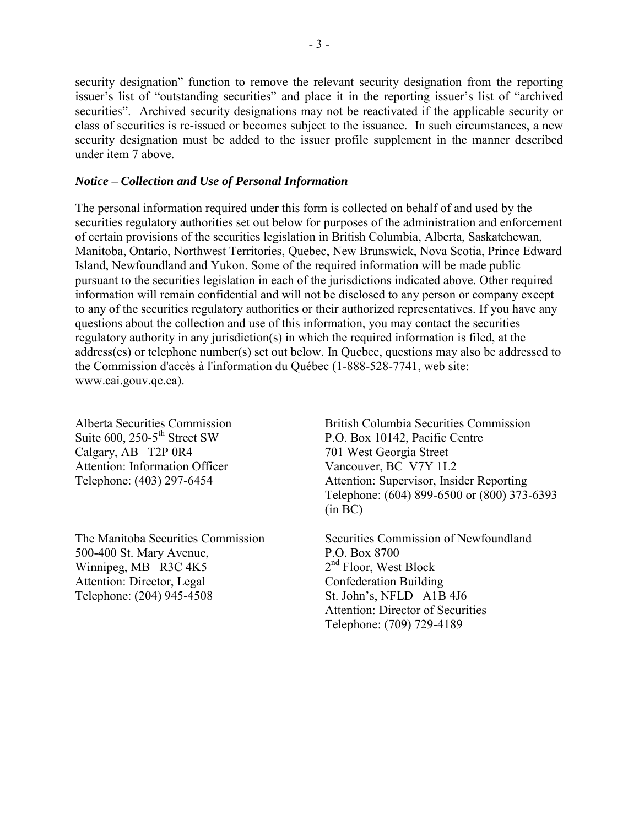security designation" function to remove the relevant security designation from the reporting issuer's list of "outstanding securities" and place it in the reporting issuer's list of "archived securities". Archived security designations may not be reactivated if the applicable security or class of securities is re-issued or becomes subject to the issuance. In such circumstances, a new security designation must be added to the issuer profile supplement in the manner described under item 7 above.

## *Notice – Collection and Use of Personal Information*

The personal information required under this form is collected on behalf of and used by the securities regulatory authorities set out below for purposes of the administration and enforcement of certain provisions of the securities legislation in British Columbia, Alberta, Saskatchewan, Manitoba, Ontario, Northwest Territories, Quebec, New Brunswick, Nova Scotia, Prince Edward Island, Newfoundland and Yukon. Some of the required information will be made public pursuant to the securities legislation in each of the jurisdictions indicated above. Other required information will remain confidential and will not be disclosed to any person or company except to any of the securities regulatory authorities or their authorized representatives. If you have any questions about the collection and use of this information, you may contact the securities regulatory authority in any jurisdiction(s) in which the required information is filed, at the address(es) or telephone number(s) set out below. In Quebec, questions may also be addressed to the Commission d'accès à l'information du Québec (1-888-528-7741, web site: www.cai.gouv.qc.ca).

Alberta Securities Commission Suite 600, 250-5<sup>th</sup> Street SW Calgary, AB T2P 0R4 Attention: Information Officer Telephone: (403) 297-6454

The Manitoba Securities Commission 500-400 St. Mary Avenue, Winnipeg, MB R3C 4K5 Attention: Director, Legal Telephone: (204) 945-4508

British Columbia Securities Commission P.O. Box 10142, Pacific Centre 701 West Georgia Street Vancouver, BC V7Y 1L2 Attention: Supervisor, Insider Reporting Telephone: (604) 899-6500 or (800) 373-6393 (in BC)

Securities Commission of Newfoundland P.O. Box 8700 2<sup>nd</sup> Floor, West Block Confederation Building St. John's, NFLD A1B 4J6 Attention: Director of Securities Telephone: (709) 729-4189